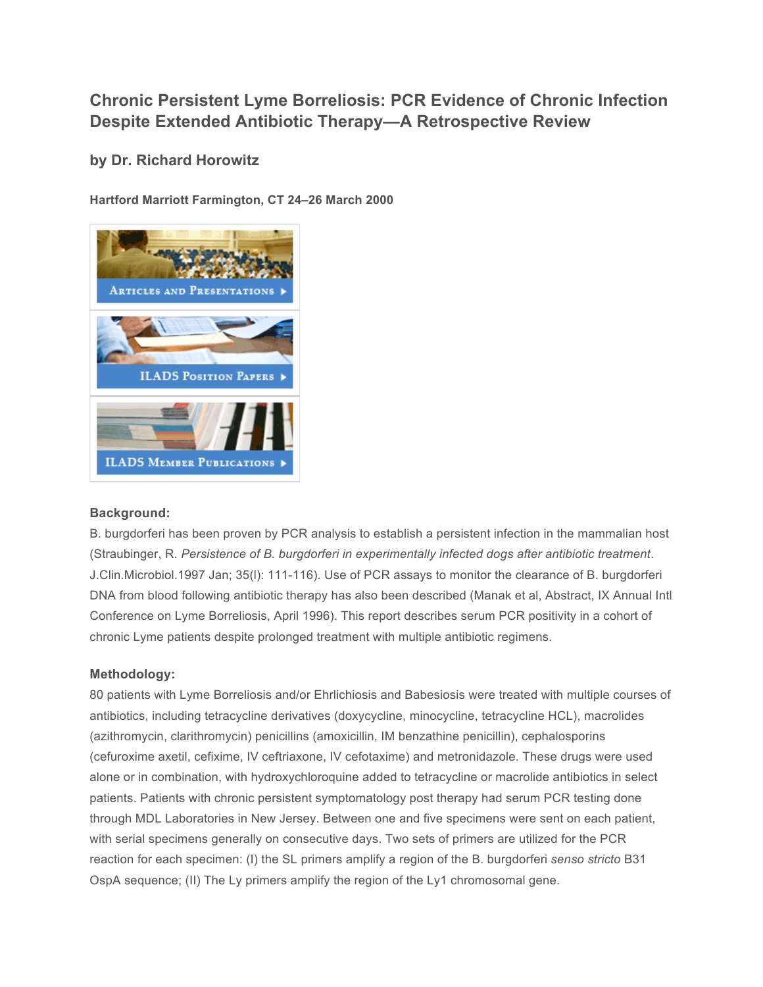## **Chronic Persistent Lyme Borreliosis: PCR Evidence of Chronic Infection Despite Extended Antibiotic Therapy—A Retrospective Review**

**by Dr. Richard Horowitz**

**Hartford Marriott Farmington, CT 24–26 March 2000**



## **Background:**

B. burgdorferi has been proven by PCR analysis to establish a persistent infection in the mammalian host (Straubinger, R. *Persistence of B. burgdorferi in experimentally infected dogs after antibiotic treatment*. J.Clin.Microbiol.1997 Jan; 35(l): 111-116). Use of PCR assays to monitor the clearance of B. burgdorferi DNA from blood following antibiotic therapy has also been described (Manak et al, Abstract, IX Annual Intl Conference on Lyme Borreliosis, April 1996). This report describes serum PCR positivity in a cohort of chronic Lyme patients despite prolonged treatment with multiple antibiotic regimens.

## **Methodology:**

80 patients with Lyme Borreliosis and/or Ehrlichiosis and Babesiosis were treated with multiple courses of antibiotics, including tetracycline derivatives (doxycycline, minocycline, tetracycline HCL), macrolides (azithromycin, clarithromycin) penicillins (amoxicillin, IM benzathine penicillin), cephalosporins (cefuroxime axetil, cefixime, IV ceftriaxone, IV cefotaxime) and metronidazole. These drugs were used alone or in combination, with hydroxychloroquine added to tetracycline or macrolide antibiotics in select patients. Patients with chronic persistent symptomatology post therapy had serum PCR testing done through MDL Laboratories in New Jersey. Between one and five specimens were sent on each patient, with serial specimens generally on consecutive days. Two sets of primers are utilized for the PCR reaction for each specimen: (I) the SL primers amplify a region of the B. burgdorferi *senso stricto* B31 OspA sequence; (II) The Ly primers amplify the region of the Ly1 chromosomal gene.